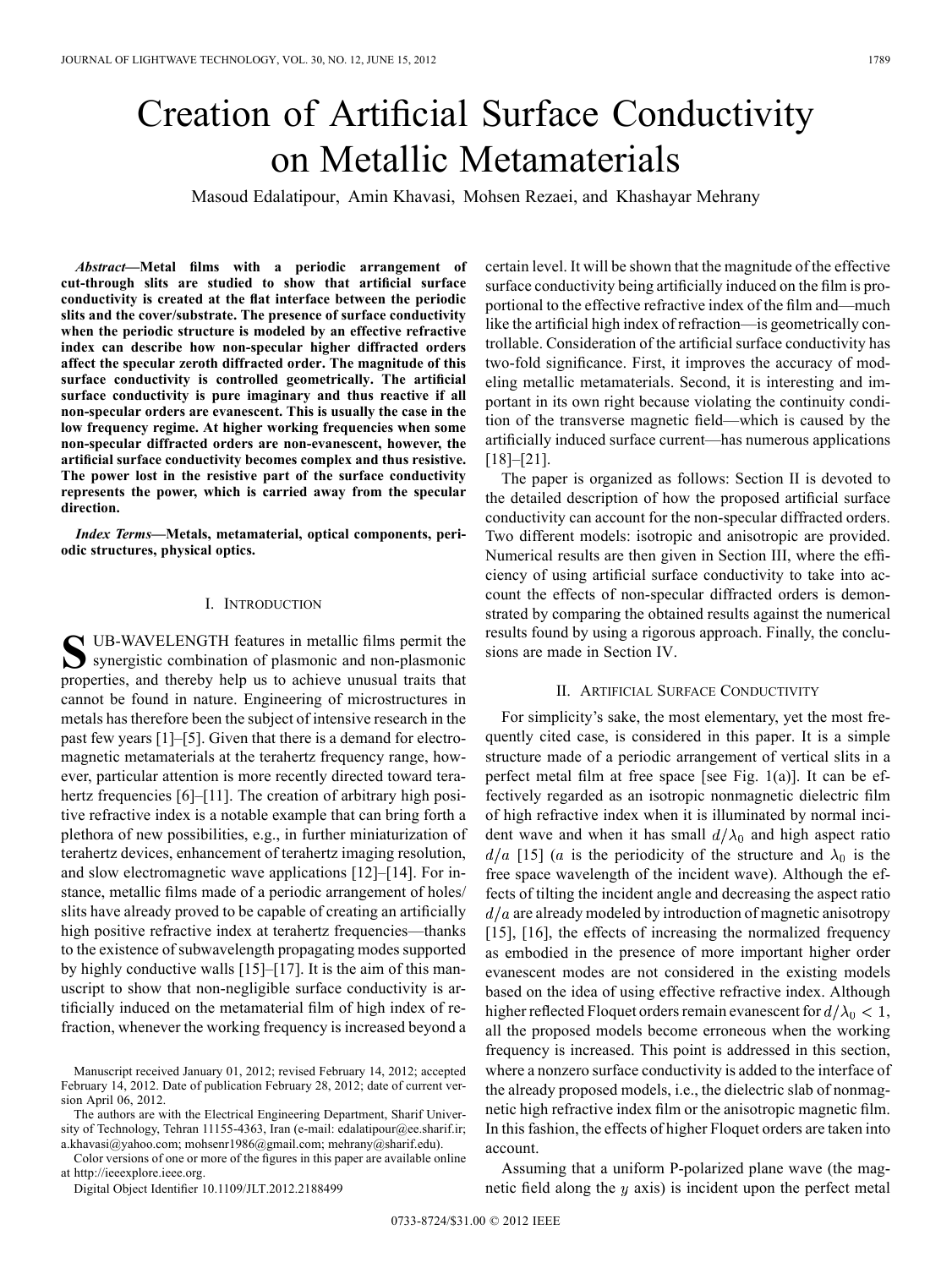# Creation of Artificial Surface Conductivity on Metallic Metamaterials

Masoud Edalatipour, Amin Khavasi, Mohsen Rezaei, and Khashayar Mehrany

*Abstract—***Metal films with a periodic arrangement of cut-through slits are studied to show that artificial surface conductivity is created at the flat interface between the periodic slits and the cover/substrate. The presence of surface conductivity when the periodic structure is modeled by an effective refractive index can describe how non-specular higher diffracted orders affect the specular zeroth diffracted order. The magnitude of this surface conductivity is controlled geometrically. The artificial surface conductivity is pure imaginary and thus reactive if all non-specular orders are evanescent. This is usually the case in the low frequency regime. At higher working frequencies when some non-specular diffracted orders are non-evanescent, however, the artificial surface conductivity becomes complex and thus resistive. The power lost in the resistive part of the surface conductivity represents the power, which is carried away from the specular direction.**

*Index Terms—***Metals, metamaterial, optical components, periodic structures, physical optics.**

## I. INTRODUCTION

**S** UB-WAVELENGTH features in metallic films permit the synergistic combination of plasmonic and non-plasmonic properties, and thereby help us to achieve unusual traits that cannot be found in nature. Engineering of microstructures in metals has therefore been the subject of intensive research in the past few years [1]–[5]. Given that there is a demand for electromagnetic metamaterials at the terahertz frequency range, however, particular attention is more recently directed toward terahertz frequencies [6]–[11]. The creation of arbitrary high positive refractive index is a notable example that can bring forth a plethora of new possibilities, e.g., in further miniaturization of terahertz devices, enhancement of terahertz imaging resolution, and slow electromagnetic wave applications [12]–[14]. For instance, metallic films made of a periodic arrangement of holes/ slits have already proved to be capable of creating an artificially high positive refractive index at terahertz frequencies—thanks to the existence of subwavelength propagating modes supported by highly conductive walls [15]–[17]. It is the aim of this manuscript to show that non-negligible surface conductivity is artificially induced on the metamaterial film of high index of refraction, whenever the working frequency is increased beyond a

The authors are with the Electrical Engineering Department, Sharif University of Technology, Tehran 11155-4363, Iran (e-mail: edalatipour@ee.sharif.ir; a.khavasi@yahoo.com; mohsenr1986@gmail.com; mehrany@sharif.edu).

Color versions of one or more of the figures in this paper are available online at http://ieeexplore.ieee.org.

Digital Object Identifier 10.1109/JLT.2012.2188499

certain level. It will be shown that the magnitude of the effective surface conductivity being artificially induced on the film is proportional to the effective refractive index of the film and—much like the artificial high index of refraction—is geometrically controllable. Consideration of the artificial surface conductivity has two-fold significance. First, it improves the accuracy of modeling metallic metamaterials. Second, it is interesting and important in its own right because violating the continuity condition of the transverse magnetic field—which is caused by the artificially induced surface current—has numerous applications [18]–[21].

The paper is organized as follows: Section II is devoted to the detailed description of how the proposed artificial surface conductivity can account for the non-specular diffracted orders. Two different models: isotropic and anisotropic are provided. Numerical results are then given in Section III, where the efficiency of using artificial surface conductivity to take into account the effects of non-specular diffracted orders is demonstrated by comparing the obtained results against the numerical results found by using a rigorous approach. Finally, the conclusions are made in Section IV.

# II. ARTIFICIAL SURFACE CONDUCTIVITY

For simplicity's sake, the most elementary, yet the most frequently cited case, is considered in this paper. It is a simple structure made of a periodic arrangement of vertical slits in a perfect metal film at free space [see Fig. 1(a)]. It can be effectively regarded as an isotropic nonmagnetic dielectric film of high refractive index when it is illuminated by normal incident wave and when it has small  $d/\lambda_0$  and high aspect ratio  $d/a$  [15] (*a* is the periodicity of the structure and  $\lambda_0$  is the free space wavelength of the incident wave). Although the effects of tilting the incident angle and decreasing the aspect ratio  $d/a$  are already modeled by introduction of magnetic anisotropy [15], [16], the effects of increasing the normalized frequency as embodied in the presence of more important higher order evanescent modes are not considered in the existing models based on the idea of using effective refractive index. Although higher reflected Floquet orders remain evanescent for  $d/\lambda_0 < 1$ , all the proposed models become erroneous when the working frequency is increased. This point is addressed in this section, where a nonzero surface conductivity is added to the interface of the already proposed models, i.e., the dielectric slab of nonmagnetic high refractive index film or the anisotropic magnetic film. In this fashion, the effects of higher Floquet orders are taken into account.

Assuming that a uniform P-polarized plane wave (the magnetic field along the  $y$  axis) is incident upon the perfect metal

Manuscript received January 01, 2012; revised February 14, 2012; accepted February 14, 2012. Date of publication February 28, 2012; date of current version April 06, 2012.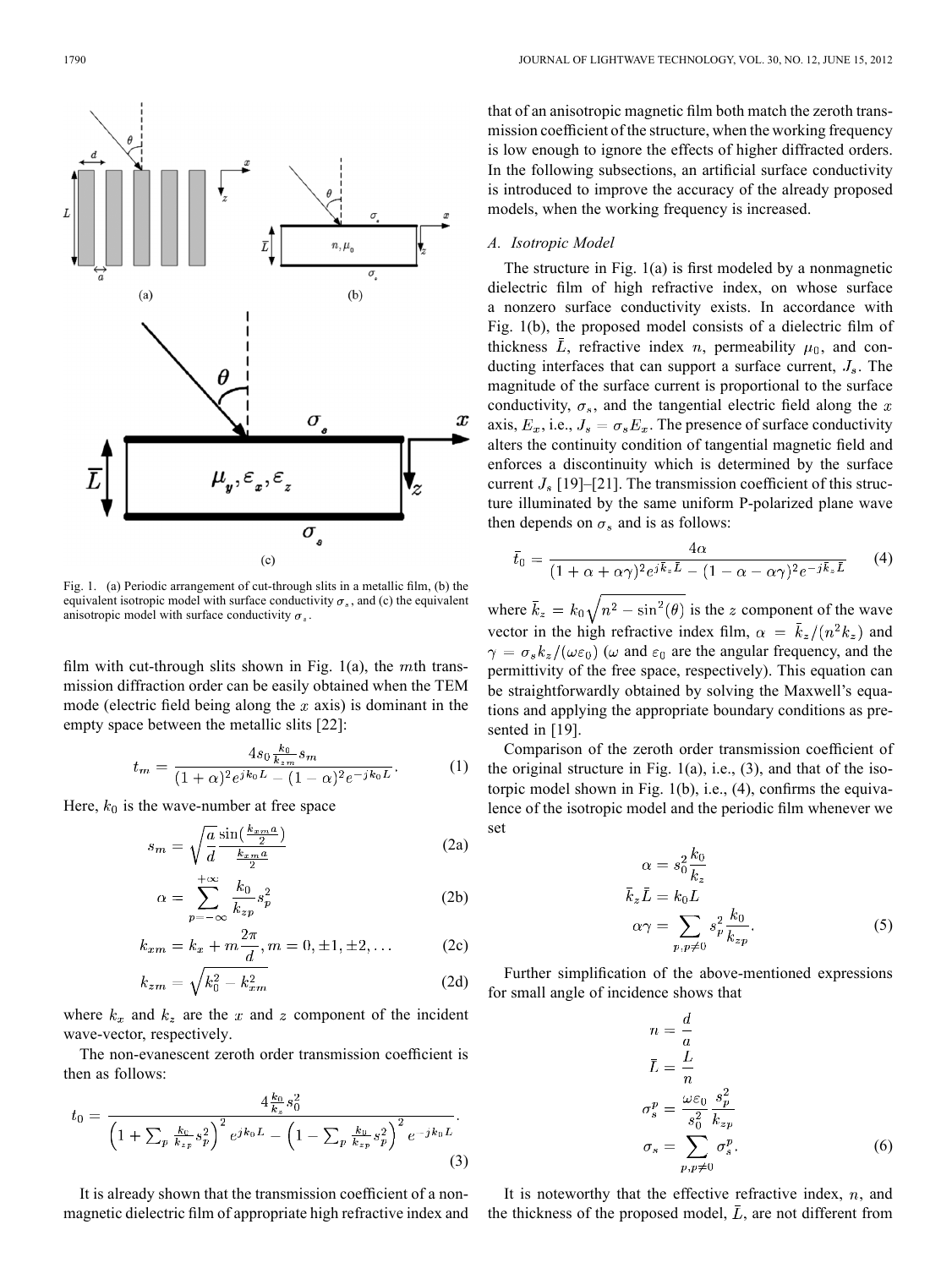

Fig. 1. (a) Periodic arrangement of cut-through slits in a metallic film, (b) the equivalent isotropic model with surface conductivity  $\sigma_s$ , and (c) the equivalent anisotropic model with surface conductivity  $\sigma_s$ .

film with cut-through slits shown in Fig. 1(a), the  $m$ th transmission diffraction order can be easily obtained when the TEM mode (electric field being along the  $x$  axis) is dominant in the empty space between the metallic slits [22]:

$$
t_m = \frac{4s_0 \frac{k_0}{k_{zm}} s_m}{(1+\alpha)^2 e^{jk_0 L} - (1-\alpha)^2 e^{-jk_0 L}}.
$$
 (1)

Here,  $k_0$  is the wave-number at free space

$$
s_m = \sqrt{\frac{a}{d}} \frac{\sin(\frac{k_{xm}a}{2})}{\frac{k_{xm}a}{2}}
$$
 (2a)

$$
\alpha = \sum_{p=-\infty}^{+\infty} \frac{k_0}{k_{zp}} s_p^2 \tag{2b}
$$

$$
k_{xm} = k_x + m\frac{2\pi}{d}, m = 0, \pm 1, \pm 2, \dots
$$
 (2c)

$$
k_{zm} = \sqrt{k_0^2 - k_{xm}^2}
$$
 (2d)

where  $k_x$  and  $k_z$  are the x and z component of the incident wave-vector, respectively.

The non-evanescent zeroth order transmission coefficient is then as follows:

$$
t_0 = \frac{4\frac{k_0}{k_z}s_0^2}{\left(1+\sum_p \frac{k_0}{k_{zp}}s_p^2\right)^2 e^{jk_0L} - \left(1-\sum_p \frac{k_0}{k_{zp}}s_p^2\right)^2 e^{-jk_0L}}.
$$
\n(3)

It is already shown that the transmission coefficient of a nonmagnetic dielectric film of appropriate high refractive index and

that of an anisotropic magnetic film both match the zeroth transmission coefficient of the structure, when the working frequency is low enough to ignore the effects of higher diffracted orders. In the following subsections, an artificial surface conductivity is introduced to improve the accuracy of the already proposed models, when the working frequency is increased.

# *A. Isotropic Model*

The structure in Fig. 1(a) is first modeled by a nonmagnetic dielectric film of high refractive index, on whose surface a nonzero surface conductivity exists. In accordance with Fig. 1(b), the proposed model consists of a dielectric film of thickness  $L$ , refractive index  $n$ , permeability  $\mu_0$ , and conducting interfaces that can support a surface current,  $J_s$ . The magnitude of the surface current is proportional to the surface conductivity,  $\sigma_s$ , and the tangential electric field along the x axis,  $E_x$ , i.e.,  $J_s = \sigma_s E_x$ . The presence of surface conductivity alters the continuity condition of tangential magnetic field and enforces a discontinuity which is determined by the surface current  $J_s$  [19]–[21]. The transmission coefficient of this structure illuminated by the same uniform P-polarized plane wave then depends on  $\sigma_s$  and is as follows:

$$
\bar{t}_0 = \frac{4\alpha}{(1 + \alpha + \alpha\gamma)^2 e^{j\bar{k}_z \bar{L}} - (1 - \alpha - \alpha\gamma)^2 e^{-j\bar{k}_z \bar{L}}}
$$
(4)

where  $\bar{k}_z = k_0 \sqrt{n^2 - \sin^2(\theta)}$  is the z component of the wave vector in the high refractive index film,  $\alpha = \bar{k}_z/(n^2 k_z)$  and  $\gamma = \sigma_s k_z/(\omega \varepsilon_0)$  ( $\omega$  and  $\varepsilon_0$  are the angular frequency, and the permittivity of the free space, respectively). This equation can be straightforwardly obtained by solving the Maxwell's equations and applying the appropriate boundary conditions as presented in [19].

Comparison of the zeroth order transmission coefficient of the original structure in Fig.  $1(a)$ , i.e.,  $(3)$ , and that of the isotorpic model shown in Fig. 1(b), i.e., (4), confirms the equivalence of the isotropic model and the periodic film whenever we set

$$
\alpha = s_0^2 \frac{k_0}{k_z}
$$
  
\n
$$
\bar{k}_z \bar{L} = k_0 L
$$
  
\n
$$
\alpha \gamma = \sum_{p, p \neq 0} s_p^2 \frac{k_0}{k_{zp}}.
$$
\n(5)

Further simplification of the above-mentioned expressions for small angle of incidence shows that

$$
n = \frac{d}{a}
$$
  
\n
$$
\bar{L} = \frac{L}{n}
$$
  
\n
$$
\sigma_s^p = \frac{\omega \varepsilon_0}{s_0^2} \frac{s_p^2}{k_{zp}}
$$
  
\n
$$
\sigma_s = \sum_{p, p \neq 0} \sigma_s^p.
$$
\n(6)

It is noteworthy that the effective refractive index,  $n$ , and the thickness of the proposed model,  $\overline{L}$ , are not different from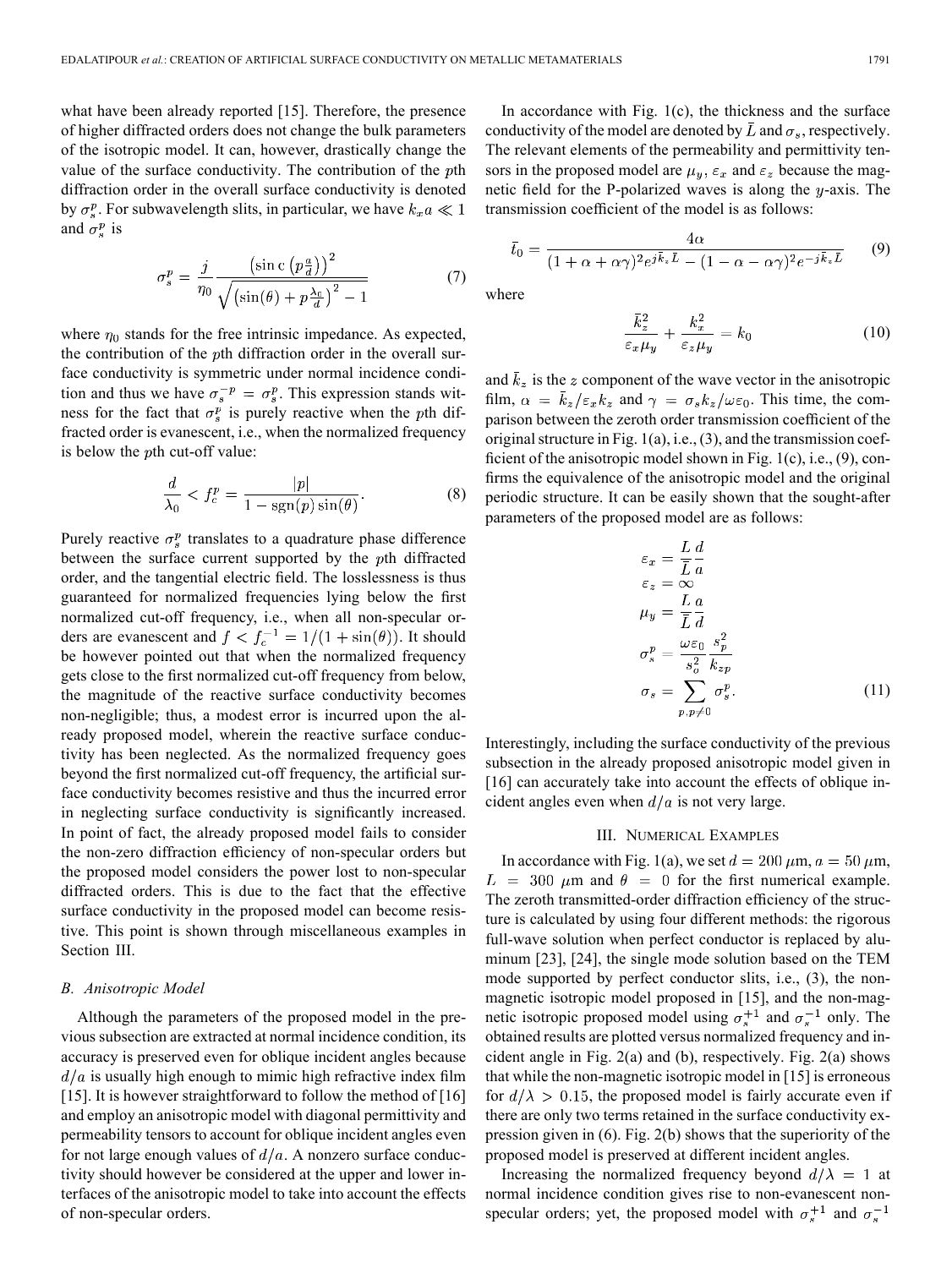what have been already reported [15]. Therefore, the presence of higher diffracted orders does not change the bulk parameters of the isotropic model. It can, however, drastically change the value of the surface conductivity. The contribution of the *th* diffraction order in the overall surface conductivity is denoted by  $\sigma_s^p$ . For subwavelength slits, in particular, we have  $k_x a \ll 1$ and  $\sigma_s^p$  is

$$
\sigma_s^p = \frac{j}{\eta_0} \frac{\left(\sin c \left(p \frac{a}{d}\right)\right)^2}{\sqrt{\left(\sin(\theta) + p \frac{\lambda_0}{d}\right)^2 - 1}}\tag{7}
$$

where  $\eta_0$  stands for the free intrinsic impedance. As expected, the contribution of the *th diffraction order in the overall sur*face conductivity is symmetric under normal incidence condition and thus we have  $\sigma_s^{-p} = \sigma_s^p$ . This expression stands witness for the fact that  $\sigma_s^p$  is purely reactive when the pth diffracted order is evanescent, i.e., when the normalized frequency is below the *th cut-off value:* 

$$
\frac{d}{\lambda_0} < f_c^p = \frac{|p|}{1 - \text{sgn}(p)\sin(\theta)}.\tag{8}
$$

Purely reactive  $\sigma_s^p$  translates to a quadrature phase difference between the surface current supported by the *th diffracted* order, and the tangential electric field. The losslessness is thus guaranteed for normalized frequencies lying below the first normalized cut-off frequency, i.e., when all non-specular orders are evanescent and  $f < f_c^{-1} = 1/(1 + \sin(\theta))$ . It should be however pointed out that when the normalized frequency gets close to the first normalized cut-off frequency from below, the magnitude of the reactive surface conductivity becomes non-negligible; thus, a modest error is incurred upon the already proposed model, wherein the reactive surface conductivity has been neglected. As the normalized frequency goes beyond the first normalized cut-off frequency, the artificial surface conductivity becomes resistive and thus the incurred error in neglecting surface conductivity is significantly increased. In point of fact, the already proposed model fails to consider the non-zero diffraction efficiency of non-specular orders but the proposed model considers the power lost to non-specular diffracted orders. This is due to the fact that the effective surface conductivity in the proposed model can become resistive. This point is shown through miscellaneous examples in Section III.

## *B. Anisotropic Model*

Although the parameters of the proposed model in the previous subsection are extracted at normal incidence condition, its accuracy is preserved even for oblique incident angles because  $d/a$  is usually high enough to mimic high refractive index film [15]. It is however straightforward to follow the method of [16] and employ an anisotropic model with diagonal permittivity and permeability tensors to account for oblique incident angles even for not large enough values of  $d/a$ . A nonzero surface conductivity should however be considered at the upper and lower interfaces of the anisotropic model to take into account the effects of non-specular orders.

In accordance with Fig.  $1(c)$ , the thickness and the surface conductivity of the model are denoted by  $\bar{L}$  and  $\sigma_s$ , respectively. The relevant elements of the permeability and permittivity tensors in the proposed model are  $\mu_y$ ,  $\varepsilon_x$  and  $\varepsilon_z$  because the magnetic field for the P-polarized waves is along the  $y$ -axis. The transmission coefficient of the model is as follows:

$$
\bar{t}_0 = \frac{4\alpha}{(1 + \alpha + \alpha\gamma)^2 e^{j\bar{k}_z \bar{L}} - (1 - \alpha - \alpha\gamma)^2 e^{-j\bar{k}_z \bar{L}}}
$$
(9)

where

$$
\frac{k_z^2}{\varepsilon_x \mu_y} + \frac{k_x^2}{\varepsilon_z \mu_y} = k_0 \tag{10}
$$

and  $k_z$  is the z component of the wave vector in the anisotropic film,  $\alpha = \bar{k}_z/\varepsilon_x k_z$  and  $\gamma = \sigma_s k_z/\omega \varepsilon_0$ . This time, the comparison between the zeroth order transmission coefficient of the original structure in Fig. 1(a), i.e., (3), and the transmission coefficient of the anisotropic model shown in Fig. 1(c), i.e., (9), confirms the equivalence of the anisotropic model and the original periodic structure. It can be easily shown that the sought-after parameters of the proposed model are as follows:

$$
\varepsilon_x = \frac{L}{\overline{L}} \frac{d}{a}
$$
\n
$$
\varepsilon_z = \infty
$$
\n
$$
\mu_y = \frac{L}{\overline{L}} \frac{a}{d}
$$
\n
$$
\sigma_s^p = \frac{\omega \varepsilon_0}{s_o^2} \frac{s_p^2}{k_{zp}}
$$
\n
$$
\sigma_s = \sum_{p, p \neq 0} \sigma_s^p.
$$
\n(11)

Interestingly, including the surface conductivity of the previous subsection in the already proposed anisotropic model given in [16] can accurately take into account the effects of oblique incident angles even when  $d/a$  is not very large.

#### III. NUMERICAL EXAMPLES

In accordance with Fig. 1(a), we set  $d = 200 \mu \text{m}$ ,  $a = 50 \mu \text{m}$ ,  $L = 300 \mu m$  and  $\theta = 0$  for the first numerical example. The zeroth transmitted-order diffraction efficiency of the structure is calculated by using four different methods: the rigorous full-wave solution when perfect conductor is replaced by aluminum [23], [24], the single mode solution based on the TEM mode supported by perfect conductor slits, i.e., (3), the nonmagnetic isotropic model proposed in [15], and the non-magnetic isotropic proposed model using  $\sigma_s^{+1}$  and  $\sigma_s^{-1}$  only. The obtained results are plotted versus normalized frequency and incident angle in Fig. 2(a) and (b), respectively. Fig. 2(a) shows that while the non-magnetic isotropic model in [15] is erroneous for  $d/\lambda > 0.15$ , the proposed model is fairly accurate even if there are only two terms retained in the surface conductivity expression given in (6). Fig. 2(b) shows that the superiority of the proposed model is preserved at different incident angles.

Increasing the normalized frequency beyond  $d/\lambda = 1$  at normal incidence condition gives rise to non-evanescent nonspecular orders; yet, the proposed model with  $\sigma_s^{+1}$  and  $\sigma_s^{-1}$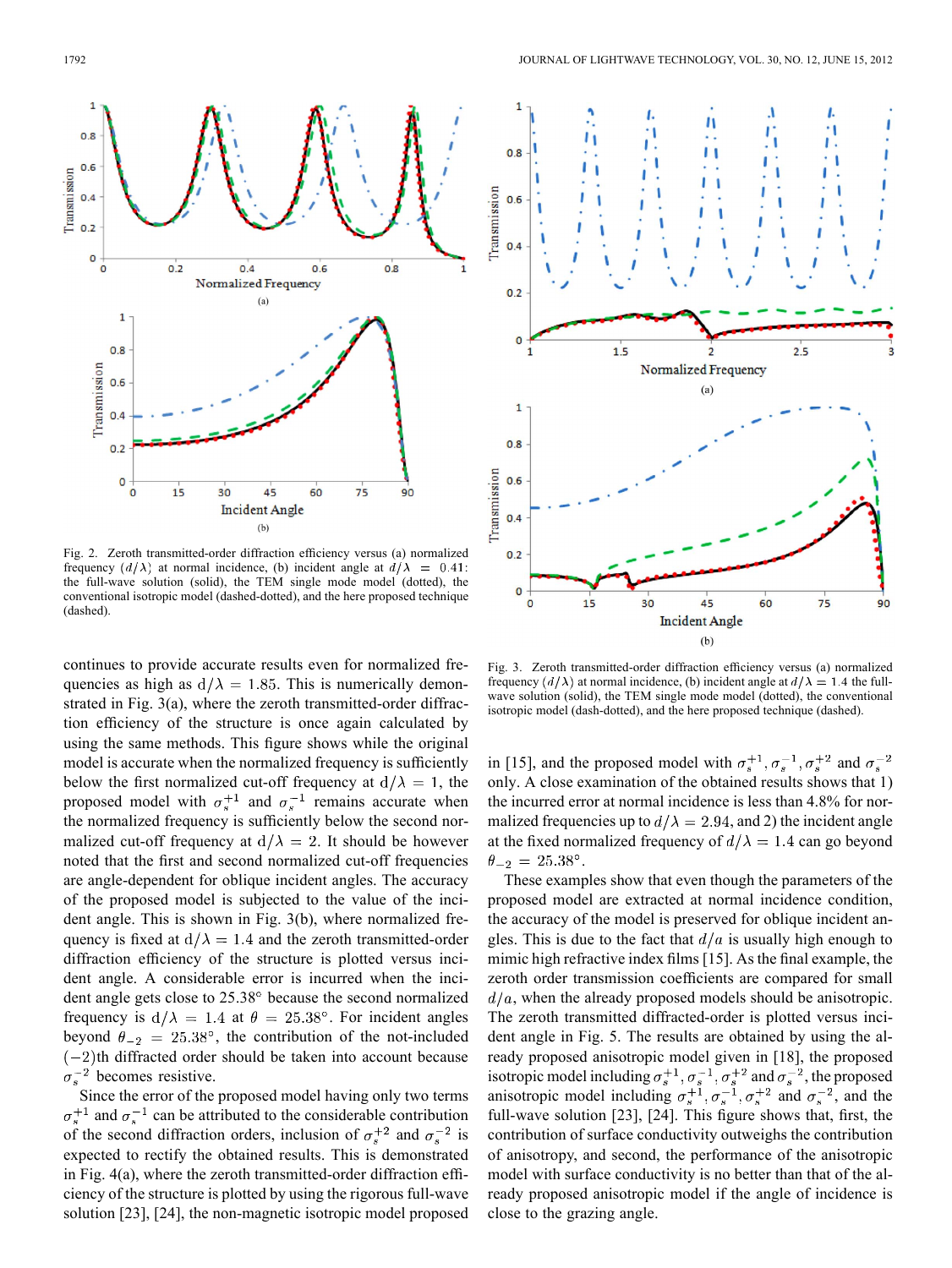

Fig. 2. Zeroth transmitted-order diffraction efficiency versus (a) normalized frequency  $(d/\lambda)$  at normal incidence, (b) incident angle at  $d/\lambda = 0.41$ : the full-wave solution (solid), the TEM single mode model (dotted), the conventional isotropic model (dashed-dotted), and the here proposed technique (dashed).

continues to provide accurate results even for normalized frequencies as high as  $d/\lambda = 1.85$ . This is numerically demonstrated in Fig. 3(a), where the zeroth transmitted-order diffraction efficiency of the structure is once again calculated by using the same methods. This figure shows while the original model is accurate when the normalized frequency is sufficiently below the first normalized cut-off frequency at  $d/\lambda = 1$ , the proposed model with  $\sigma_s^{+1}$  and  $\sigma_s^{-1}$  remains accurate when the normalized frequency is sufficiently below the second normalized cut-off frequency at  $d/\lambda = 2$ . It should be however noted that the first and second normalized cut-off frequencies are angle-dependent for oblique incident angles. The accuracy of the proposed model is subjected to the value of the incident angle. This is shown in Fig. 3(b), where normalized frequency is fixed at  $d/\lambda = 1.4$  and the zeroth transmitted-order diffraction efficiency of the structure is plotted versus incident angle. A considerable error is incurred when the incident angle gets close to  $25.38^\circ$  because the second normalized frequency is  $d/\lambda = 1.4$  at  $\theta = 25.38^{\circ}$ . For incident angles beyond  $\theta_{-2} = 25.38^{\circ}$ , the contribution of the not-included  $(-2)$ th diffracted order should be taken into account because  $\sigma_s^{-2}$  becomes resistive.

Since the error of the proposed model having only two terms  $\sigma_s^{+1}$  and  $\sigma_s^{-1}$  can be attributed to the considerable contribution of the second diffraction orders, inclusion of  $\sigma_s^{+2}$  and  $\sigma_s^{-2}$  is expected to rectify the obtained results. This is demonstrated in Fig. 4(a), where the zeroth transmitted-order diffraction efficiency of the structure is plotted by using the rigorous full-wave solution [23], [24], the non-magnetic isotropic model proposed



Fig. 3. Zeroth transmitted-order diffraction efficiency versus (a) normalized frequency  $(d/\lambda)$  at normal incidence, (b) incident angle at  $d/\lambda = 1.4$  the fullwave solution (solid), the TEM single mode model (dotted), the conventional isotropic model (dash-dotted), and the here proposed technique (dashed).

in [15], and the proposed model with  $\sigma_s^{+1}$ ,  $\sigma_s^{-1}$ ,  $\sigma_s^{+2}$  and  $\sigma_s^{-2}$ only. A close examination of the obtained results shows that 1) the incurred error at normal incidence is less than 4.8% for normalized frequencies up to  $d/\lambda = 2.94$ , and 2) the incident angle at the fixed normalized frequency of  $d/\lambda = 1.4$  can go beyond  $\theta_{-2} = 25.38^{\circ}$ .

These examples show that even though the parameters of the proposed model are extracted at normal incidence condition, the accuracy of the model is preserved for oblique incident angles. This is due to the fact that  $d/a$  is usually high enough to mimic high refractive index films [15]. As the final example, the zeroth order transmission coefficients are compared for small  $d/a$ , when the already proposed models should be anisotropic. The zeroth transmitted diffracted-order is plotted versus incident angle in Fig. 5. The results are obtained by using the already proposed anisotropic model given in [18], the proposed isotropic model including  $\sigma_s^{-1}$ ,  $\sigma_s^{-1}$ ,  $\sigma_s^{+2}$  and  $\sigma_s^{-2}$ , the proposed anisotropic model including  $\sigma_s^{+1}$ ,  $\sigma_s^{-1}$ ,  $\sigma_s^{+2}$  and  $\sigma_s^{-2}$ , and the full-wave solution [23], [24]. This figure shows that, first, the contribution of surface conductivity outweighs the contribution of anisotropy, and second, the performance of the anisotropic model with surface conductivity is no better than that of the already proposed anisotropic model if the angle of incidence is close to the grazing angle.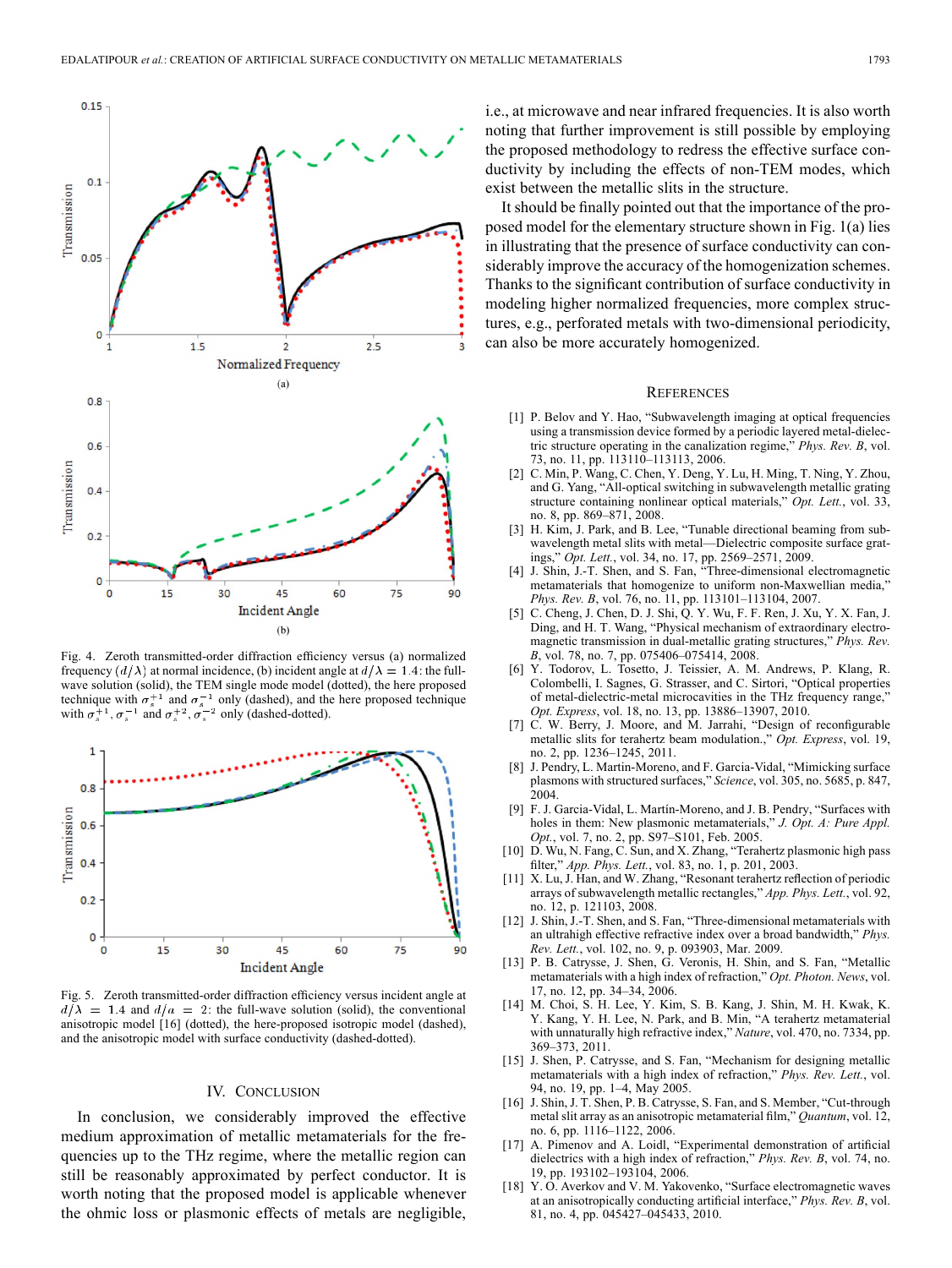

Fig. 4. Zeroth transmitted-order diffraction efficiency versus (a) normalized frequency  $(d/\lambda)$  at normal incidence, (b) incident angle at  $d/\lambda = 1.4$ : the fullwave solution (solid), the TEM single mode model (dotted), the here proposed technique with  $\sigma_*^{-1}$  and  $\sigma_*^{-1}$  only (dashed), and the here proposed technique with  $\sigma_*^{+1}$ ,  $\sigma_*^{-1}$  and  $\sigma_*^{+2}$ ,  $\sigma_*^{-2}$  only (dashed-dotted).



Fig. 5. Zeroth transmitted-order diffraction efficiency versus incident angle at  $d/\lambda = 1.4$  and  $d/a = 2$ : the full-wave solution (solid), the conventional anisotropic model [16] (dotted), the here-proposed isotropic model (dashed), and the anisotropic model with surface conductivity (dashed-dotted).

#### IV. CONCLUSION

In conclusion, we considerably improved the effective medium approximation of metallic metamaterials for the frequencies up to the THz regime, where the metallic region can still be reasonably approximated by perfect conductor. It is worth noting that the proposed model is applicable whenever the ohmic loss or plasmonic effects of metals are negligible, i.e., at microwave and near infrared frequencies. It is also worth noting that further improvement is still possible by employing the proposed methodology to redress the effective surface conductivity by including the effects of non-TEM modes, which exist between the metallic slits in the structure.

It should be finally pointed out that the importance of the proposed model for the elementary structure shown in Fig. 1(a) lies in illustrating that the presence of surface conductivity can considerably improve the accuracy of the homogenization schemes. Thanks to the significant contribution of surface conductivity in modeling higher normalized frequencies, more complex structures, e.g., perforated metals with two-dimensional periodicity, can also be more accurately homogenized.

#### **REFERENCES**

- [1] P. Belov and Y. Hao, "Subwavelength imaging at optical frequencies using a transmission device formed by a periodic layered metal-dielectric structure operating in the canalization regime," *Phys. Rev. B*, vol. 73, no. 11, pp. 113110–113113, 2006.
- [2] C. Min, P. Wang, C. Chen, Y. Deng, Y. Lu, H. Ming, T. Ning, Y. Zhou, and G. Yang, "All-optical switching in subwavelength metallic grating structure containing nonlinear optical materials," *Opt. Lett.*, vol. 33, no. 8, pp. 869–871, 2008.
- [3] H. Kim, J. Park, and B. Lee, "Tunable directional beaming from subwavelength metal slits with metal—Dielectric composite surface gratings," *Opt. Lett.*, vol. 34, no. 17, pp. 2569–2571, 2009.
- [4] J. Shin, J.-T. Shen, and S. Fan, "Three-dimensional electromagnetic metamaterials that homogenize to uniform non-Maxwellian media," *Phys. Rev. B*, vol. 76, no. 11, pp. 113101–113104, 2007.
- [5] C. Cheng, J. Chen, D. J. Shi, Q. Y. Wu, F. F. Ren, J. Xu, Y. X. Fan, J. Ding, and H. T. Wang, "Physical mechanism of extraordinary electromagnetic transmission in dual-metallic grating structures," *Phys. Rev. B*, vol. 78, no. 7, pp. 075406–075414, 2008.
- [6] Y. Todorov, L. Tosetto, J. Teissier, A. M. Andrews, P. Klang, R. Colombelli, I. Sagnes, G. Strasser, and C. Sirtori, "Optical properties of metal-dielectric-metal microcavities in the THz frequency range," *Opt. Express*, vol. 18, no. 13, pp. 13886–13907, 2010.
- [7] C. W. Berry, J. Moore, and M. Jarrahi, "Design of reconfigurable metallic slits for terahertz beam modulation.," *Opt. Express*, vol. 19, no. 2, pp. 1236–1245, 2011.
- [8] J. Pendry, L. Martin-Moreno, and F. Garcia-Vidal, "Mimicking surface plasmons with structured surfaces," *Science*, vol. 305, no. 5685, p. 847, 2004.
- [9] F. J. Garcia-Vidal, L. Martín-Moreno, and J. B. Pendry, "Surfaces with holes in them: New plasmonic metamaterials," *J. Opt. A: Pure Appl. Opt.*, vol. 7, no. 2, pp. S97–S101, Feb. 2005.
- [10] D. Wu, N. Fang, C. Sun, and X. Zhang, "Terahertz plasmonic high pass filter," *App. Phys. Lett.*, vol. 83, no. 1, p. 201, 2003.
- [11] X. Lu, J. Han, and W. Zhang, "Resonant terahertz reflection of periodic arrays of subwavelength metallic rectangles," *App. Phys. Lett.*, vol. 92, no. 12, p. 121103, 2008.
- [12] J. Shin, J.-T. Shen, and S. Fan, "Three-dimensional metamaterials with an ultrahigh effective refractive index over a broad bandwidth," *Phys. Rev. Lett.*, vol. 102, no. 9, p. 093903, Mar. 2009.
- [13] P. B. Catrysse, J. Shen, G. Veronis, H. Shin, and S. Fan, "Metallic metamaterials with a high index of refraction," *Opt. Photon. News*, vol. 17, no. 12, pp. 34–34, 2006.
- [14] M. Choi, S. H. Lee, Y. Kim, S. B. Kang, J. Shin, M. H. Kwak, K. Y. Kang, Y. H. Lee, N. Park, and B. Min, "A terahertz metamaterial with unnaturally high refractive index," *Nature*, vol. 470, no. 7334, pp. 369–373, 2011.
- [15] J. Shen, P. Catrysse, and S. Fan, "Mechanism for designing metallic metamaterials with a high index of refraction," *Phys. Rev. Lett.*, vol. 94, no. 19, pp. 1–4, May 2005.
- [16] J. Shin, J. T. Shen, P. B. Catrysse, S. Fan, and S. Member, "Cut-through metal slit array as an anisotropic metamaterial film," *Quantum*, vol. 12, no. 6, pp. 1116–1122, 2006.
- [17] A. Pimenov and A. Loidl, "Experimental demonstration of artificial dielectrics with a high index of refraction," *Phys. Rev. B*, vol. 74, no. 19, pp. 193102–193104, 2006.
- [18] Y.O. Averkov and V.M. Yakovenko, "Surface electromagnetic waves at an anisotropically conducting artificial interface," *Phys. Rev. B*, vol. 81, no. 4, pp. 045427–045433, 2010.